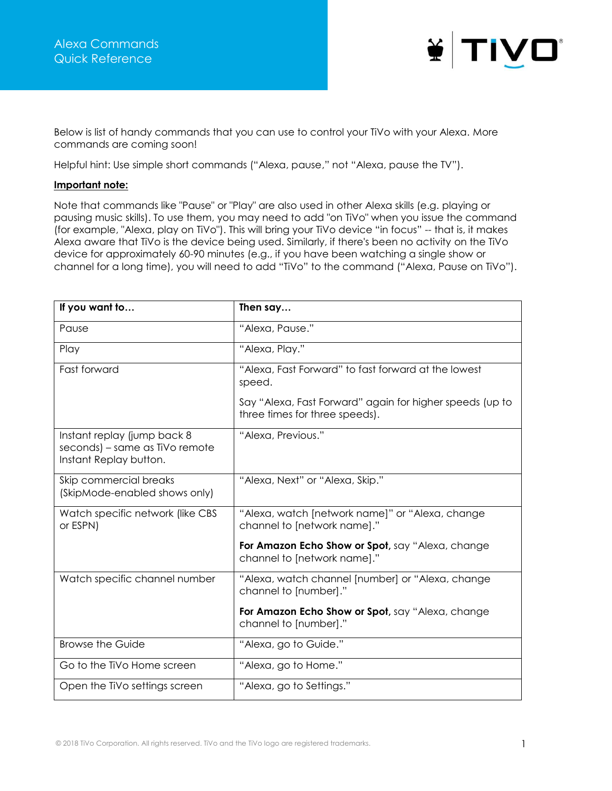

Below is list of handy commands that you can use to control your TiVo with your Alexa. More commands are coming soon!

Helpful hint: Use simple short commands ("Alexa, pause," not "Alexa, pause the TV").

## **Important note:**

Note that commands like "Pause" or "Play" are also used in other Alexa skills (e.g. playing or pausing music skills). To use them, you may need to add "on TiVo" when you issue the command (for example, "Alexa, play on TiVo"). This will bring your TiVo device "in focus" -- that is, it makes Alexa aware that TiVo is the device being used. Similarly, if there's been no activity on the TiVo device for approximately 60-90 minutes (e.g., if you have been watching a single show or channel for a long time), you will need to add "TiVo" to the command ("Alexa, Pause on TiVo").

| If you want to                                                                          | Then say                                                                                   |
|-----------------------------------------------------------------------------------------|--------------------------------------------------------------------------------------------|
| Pause                                                                                   | "Alexa, Pause."                                                                            |
| Play                                                                                    | "Alexa, Play."                                                                             |
| Fast forward                                                                            | "Alexa, Fast Forward" to fast forward at the lowest<br>speed.                              |
|                                                                                         | Say "Alexa, Fast Forward" again for higher speeds (up to<br>three times for three speeds). |
| Instant replay (jump back 8<br>seconds) - same as TiVo remote<br>Instant Replay button. | "Alexa, Previous."                                                                         |
| Skip commercial breaks<br>(SkipMode-enabled shows only)                                 | "Alexa, Next" or "Alexa, Skip."                                                            |
| Watch specific network (like CBS<br>or ESPN)                                            | "Alexa, watch [network name]" or "Alexa, change<br>channel to [network name]."             |
|                                                                                         | For Amazon Echo Show or Spot, say "Alexa, change<br>channel to [network name]."            |
| Watch specific channel number                                                           | "Alexa, watch channel [number] or "Alexa, change<br>channel to [number]."                  |
|                                                                                         | For Amazon Echo Show or Spot, say "Alexa, change<br>channel to [number]."                  |
| <b>Browse the Guide</b>                                                                 | "Alexa, go to Guide."                                                                      |
| Go to the TiVo Home screen                                                              | "Alexa, go to Home."                                                                       |
| Open the TiVo settings screen                                                           | "Alexa, go to Settings."                                                                   |